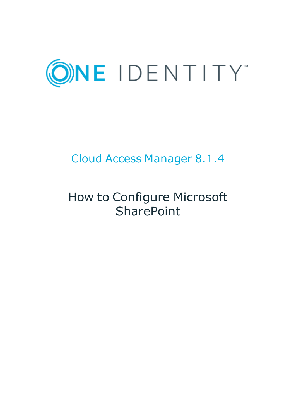

## Cloud Access Manager 8.1.4

# How to Configure Microsoft **SharePoint**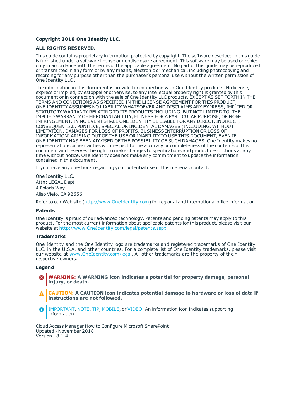#### **Copyright 2018 One Identity LLC.**

#### **ALL RIGHTS RESERVED.**

This guide contains proprietary information protected by copyright. The software described in this guide is furnished under a software license or nondisclosure agreement. This software may be used or copied only in accordance with the terms of the applicable agreement. No part of this guide may be reproduced or transmitted in any form or by any means, electronic or mechanical, including photocopying and recording for any purpose other than the purchaser's personal use without the written permission of One Identity LLC .

The information in this document is provided in connection with One Identity products. No license, express or implied, by estoppel or otherwise, to any intellectual property right is granted by this document or in connection with the sale of One Identity LLC products. EXCEPT AS SET FORTH IN THE TERMS AND CONDITIONS AS SPECIFIED IN THE LICENSE AGREEMENT FOR THIS PRODUCT, ONE IDENTITY ASSUMES NO LIABILITY WHATSOEVER AND DISCLAIMS ANY EXPRESS, IMPLIED OR STATUTORY WARRANTY RELATING TO ITS PRODUCTS INCLUDING, BUT NOT LIMITED TO, THE IMPLIED WARRANTY OF MERCHANTABILITY, FITNESS FOR A PARTICULAR PURPOSE, OR NON-INFRINGEMENT. IN NO EVENT SHALL ONE IDENTITY BE LIABLE FOR ANY DIRECT, INDIRECT, CONSEQUENTIAL, PUNITIVE, SPECIAL OR INCIDENTAL DAMAGES (INCLUDING, WITHOUT LIMITATION, DAMAGES FOR LOSS OF PROFITS, BUSINESS INTERRUPTION OR LOSS OF INFORMATION) ARISING OUT OF THE USE OR INABILITY TO USE THIS DOCUMENT, EVEN IF ONE IDENTITY HAS BEEN ADVISED OF THE POSSIBILITY OF SUCH DAMAGES. One Identity makes no representations or warranties with respect to the accuracy or completeness of the contents of this document and reserves the right to make changes to specifications and product descriptions at any time without notice. One Identity does not make any commitment to update the information contained in this document.

If you have any questions regarding your potential use of this material, contact:

One Identity LLC. Attn: LEGAL Dept 4 Polaris Way Aliso Viejo, CA 92656

Refer to our Web site ([http://www.OneIdentity.com](http://www.oneidentity.com/)) for regional and international office information.

#### **Patents**

One Identity is proud of our advanced technology. Patents and pending patents may apply to this product. For the most current information about applicable patents for this product, please visit our website at [http://www.OneIdentity.com/legal/patents.aspx](http://www.oneidentity.com/legal/patents.aspx).

#### **Trademarks**

One Identity and the One Identity logo are trademarks and registered trademarks of One Identity LLC. in the U.S.A. and other countries. For a complete list of One Identity trademarks, please visit our website at [www.OneIdentity.com/legal](http://www.oneidentity.com/legal). All other trademarks are the property of their respective owners.

#### **Legend**

- **WARNING: A WARNING icon indicates a potential for property damage, personal injury, or death.**
- **CAUTION: A CAUTION icon indicates potential damage to hardware or loss of data if instructions are not followed.**
- IMPORTANT, NOTE, TIP, MOBILE, or VIDEO: An information icon indicates supporting Œ information.

Cloud Access Manager How to Configure Microsoft SharePoint Updated - November 2018 Version - 8.1.4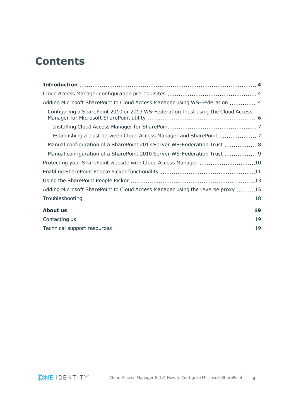### **Contents**

| Adding Microsoft SharePoint to Cloud Access Manager using WS-Federation  4       |  |
|----------------------------------------------------------------------------------|--|
| Configuring a SharePoint 2010 or 2013 WS-Federation Trust using the Cloud Access |  |
|                                                                                  |  |
|                                                                                  |  |
| Manual configuration of a SharePoint 2013 Server WS-Federation Trust  8          |  |
| Manual configuration of a SharePoint 2010 Server WS-Federation Trust  9          |  |
| Protecting your SharePoint website with Cloud Access Manager 10                  |  |
|                                                                                  |  |
|                                                                                  |  |
| Adding Microsoft SharePoint to Cloud Access Manager using the reverse proxy 15   |  |
|                                                                                  |  |
|                                                                                  |  |
|                                                                                  |  |
|                                                                                  |  |

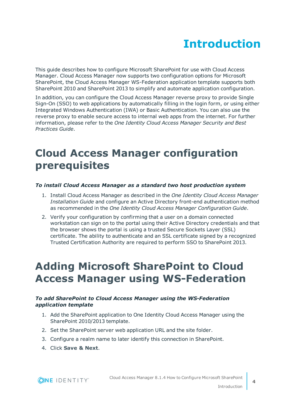# **Introduction**

<span id="page-3-0"></span>This guide describes how to configure Microsoft SharePoint for use with Cloud Access Manager. Cloud Access Manager now supports two configuration options for Microsoft SharePoint, the Cloud Access Manager WS-Federation application template supports both SharePoint 2010 and SharePoint 2013 to simplify and automate application configuration.

In addition, you can configure the Cloud Access Manager reverse proxy to provide Single Sign-On (SSO) to web applications by automatically filling in the login form, or using either Integrated Windows Authentication (IWA) or Basic Authentication. You can also use the reverse proxy to enable secure access to internal web apps from the internet. For further information, please refer to the *One Identity Cloud Access Manager Security and Best Practices Guide*.

### <span id="page-3-1"></span>**Cloud Access Manager configuration prerequisites**

### *To install Cloud Access Manager as a standard two host production system*

- 1. Install Cloud Access Manager as described in the *One Identity Cloud Access Manager Installation Guide* and configure an Active Directory front-end authentication method as recommended in the *One Identity Cloud Access Manager Configuration Guide*.
- 2. Verify your configuration by confirming that a user on a domain connected workstation can sign on to the portal using their Active Directory credentials and that the browser shows the portal is using a trusted Secure Sockets Layer (SSL) certificate. The ability to authenticate and an SSL certificate signed by a recognized Trusted Certification Authority are required to perform SSO to SharePoint 2013.

### <span id="page-3-2"></span>**Adding Microsoft SharePoint to Cloud Access Manager using WS-Federation**

### *To add SharePoint to Cloud Access Manager using the WS-Federation application template*

- 1. Add the SharePoint application to One Identity Cloud Access Manager using the SharePoint 2010/2013 template.
- 2. Set the SharePoint server web application URL and the site folder.
- 3. Configure a realm name to later identify this connection in SharePoint.
- 4. Click **Save & Next**.

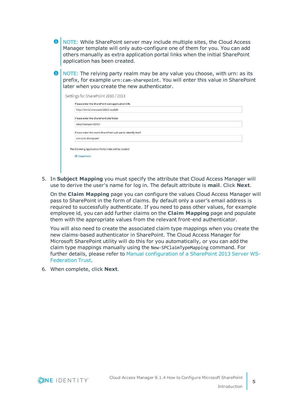| $\blacksquare$ NOTE: While SharePoint server may include multiple sites, the Cloud Access |
|-------------------------------------------------------------------------------------------|
| Manager template will only auto-configure one of them for you. You can add                |
| others manually as extra application portal links when the initial SharePoint             |
| application has been created.                                                             |

6 NOTE: The relying party realm may be any value you choose, with urn: as its prefix, for example urn:cam-sharepoint. You will enter this value in SharePoint later when you create the new authenticator.

| http://win12.sharepoint2013.local:80                   | Please enter the SharePoint web application URL               |  |  |
|--------------------------------------------------------|---------------------------------------------------------------|--|--|
| Please enter the SharePoint site folder                |                                                               |  |  |
| sites/sharepoint2013                                   |                                                               |  |  |
|                                                        | Please enter the realm SharePoint will use to identify itself |  |  |
| urn:cam-sharepoint                                     |                                                               |  |  |
|                                                        |                                                               |  |  |
| The following Application Portal links will be created |                                                               |  |  |

5. In **Subject Mapping** you must specify the attribute that Cloud Access Manager will use to derive the user's name for log in. The default attribute is **mail**. Click **Next**.

On the **Claim Mapping** page you can configure the values Cloud Access Manager will pass to SharePoint in the form of claims. By default only a user's email address is required to successfully authenticate. If you need to pass other values, for example employee id, you can add further claims on the **Claim Mapping** page and populate them with the appropriate values from the relevant front-end authenticator.

You will also need to create the associated claim type mappings when you create the new claims-based authenticator in SharePoint. The Cloud Access Manager for Microsoft SharePoint utility will do this for you automatically, or you can add the claim type mappings manually using the New-SPClaimTypeMapping command. For further details, please refer to Manual [configuration](#page-7-0) of a SharePoint 2013 Server WS-[Federation](#page-7-0) Trust.

6. When complete, click **Next**.

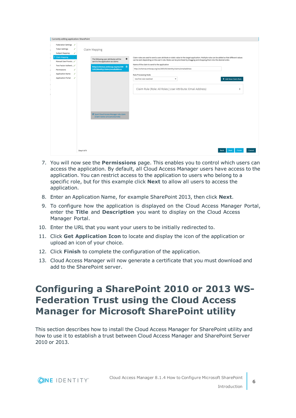| Currently editing application: SharePoint   |                                                                                                                                                                                                                                                                                                                                                              |                          |
|---------------------------------------------|--------------------------------------------------------------------------------------------------------------------------------------------------------------------------------------------------------------------------------------------------------------------------------------------------------------------------------------------------------------|--------------------------|
| Federation Settings                         |                                                                                                                                                                                                                                                                                                                                                              |                          |
| <b>Token Settings</b><br>√                  | Claim Mapping                                                                                                                                                                                                                                                                                                                                                |                          |
| Subject Mapping<br>√                        |                                                                                                                                                                                                                                                                                                                                                              |                          |
| <b>Claim Mapping</b><br>Manual User Provisi | Claim rules are used to send a user attribute or static value to the target application. Multiple rules can be added so that different values<br>٠<br>The following user attributes will be<br>can be sent depending on the user's role. Rules can be prioritized by dragging and dropping them into the desired order.<br>sent to the application as claims |                          |
| Two Factor Authent√                         | Name of the claim to send to the application                                                                                                                                                                                                                                                                                                                 |                          |
| Permissions<br>J                            | http://schemas.xmlsoap.org/ws/200 自<br>http://schemas.xmlsoap.org/ws/2005/05/identity/claims/emailaddress<br>5/05/identity/claims/emailaddress                                                                                                                                                                                                               |                          |
| Application Name<br>✓                       | Rule Processing Mode                                                                                                                                                                                                                                                                                                                                         |                          |
| Application Portal<br>✓                     | Use first rule matched<br>٠                                                                                                                                                                                                                                                                                                                                  | + Add New Claim Rule     |
|                                             |                                                                                                                                                                                                                                                                                                                                                              |                          |
|                                             | Claim Rule (Role: All Roles   User Attribute: Email Address)                                                                                                                                                                                                                                                                                                 | ⋋                        |
|                                             | Send Cloud Access Manager role claim<br>[Claim name: urn:cam/sso/role]                                                                                                                                                                                                                                                                                       |                          |
|                                             |                                                                                                                                                                                                                                                                                                                                                              |                          |
|                                             |                                                                                                                                                                                                                                                                                                                                                              |                          |
|                                             |                                                                                                                                                                                                                                                                                                                                                              |                          |
|                                             |                                                                                                                                                                                                                                                                                                                                                              |                          |
|                                             |                                                                                                                                                                                                                                                                                                                                                              |                          |
|                                             | <b>Back</b><br>Step 4 of 9                                                                                                                                                                                                                                                                                                                                   | Finish<br>Cancel<br>Next |

- 7. You will now see the **Permissions** page. This enables you to control which users can access the application. By default, all Cloud Access Manager users have access to the application. You can restrict access to the application to users who belong to a specific role, but for this example click **Next** to allow all users to access the application.
- 8. Enter an Application Name, for example SharePoint 2013, then click **Next**.
- 9. To configure how the application is displayed on the Cloud Access Manager Portal, enter the **Title** and **Description** you want to display on the Cloud Access Manager Portal.
- 10. Enter the URL that you want your users to be initially redirected to.
- 11. Click **Get Application Icon** to locate and display the icon of the application or upload an icon of your choice.
- 12. Click **Finish** to complete the configuration of the application.
- 13. Cloud Access Manager will now generate a certificate that you must download and add to the SharePoint server.

### <span id="page-5-0"></span>**Configuring a SharePoint 2010 or 2013 WS-Federation Trust using the Cloud Access Manager for Microsoft SharePoint utility**

This section describes how to install the Cloud Access Manager for SharePoint utility and how to use it to establish a trust between Cloud Access Manager and SharePoint Server 2010 or 2013.

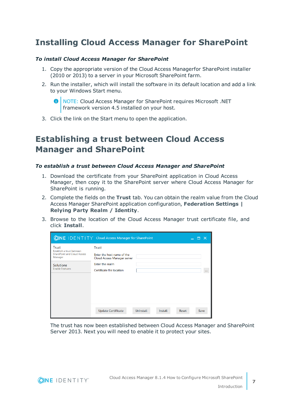### <span id="page-6-0"></span>**Installing Cloud Access Manager for SharePoint**

### *To install Cloud Access Manager for SharePoint*

- 1. Copy the appropriate version of the Cloud Access Managerfor SharePoint installer (2010 or 2013) to a server in your Microsoft SharePoint farm.
- 2. Run the installer, which will install the software in its default location and add a link to your Windows Start menu.

**O** NOTE: Cloud Access Manager for SharePoint requires Microsoft .NET framework version 4.5 installed on your host.

<span id="page-6-1"></span>3. Click the link on the Start menu to open the application.

### **Establishing a trust between Cloud Access Manager and SharePoint**

#### *To establish a trust between Cloud Access Manager and SharePoint*

- 1. Download the certificate from your SharePoint application in Cloud Access Manager, then copy it to the SharePoint server where Cloud Access Manager for SharePoint is running.
- 2. Complete the fields on the **Trust** tab. You can obtain the realm value from the Cloud Access Manager SharePoint application configuration, **Federation Settings | Relying Party Realm / Identity**.
- 3. Browse to the location of the Cloud Access Manager trust certificate file, and click **Install**.

|                                                                                                                                          | <b>ONE IDENTITY</b> Cloud Access Manager for SharePoint                                                            |                  |         |       | $\mathbf{x}$ |
|------------------------------------------------------------------------------------------------------------------------------------------|--------------------------------------------------------------------------------------------------------------------|------------------|---------|-------|--------------|
| <b>Trust</b><br>Establish a trust between<br><b>SharePoint and Cloud Access</b><br>Manager<br><b>Solutions</b><br><b>Enable Features</b> | Trust<br>Enter the host name of the<br>Cloud Access Manager server<br>Enter the realm<br>Certificate file location |                  |         |       | $\cdots$     |
|                                                                                                                                          | <b>Update Certificate</b>                                                                                          | <b>Uninstall</b> | Install | Reset | Save         |

The trust has now been established between Cloud Access Manager and SharePoint Server 2013. Next you will need to enable it to protect your sites.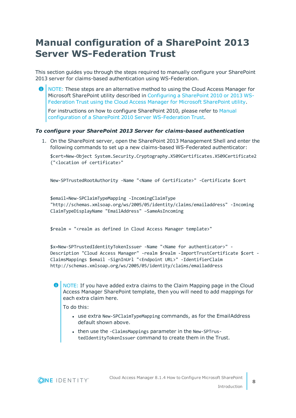### <span id="page-7-0"></span>**Manual configuration of a SharePoint 2013 Server WS-Federation Trust**

This section guides you through the steps required to manually configure your SharePoint 2013 server for claims-based authentication using WS-Federation.

6 NOTE: These steps are an alternative method to using the Cloud Access Manager for Microsoft SharePoint utility described in [Configuring](#page-5-0) a SharePoint 2010 or 2013 WS-Federation Trust using the Cloud Access Manager for Microsoft [SharePoint](#page-5-0) utility.

For instructions on how to configure SharePoint 2010, please refer to [Manual](#page-8-0) configuration of a SharePoint 2010 Server [WS-Federation](#page-8-0) Trust.

### *To configure your SharePoint 2013 Server for claims-based authentication*

1. On the SharePoint server, open the SharePoint 2013 Management Shell and enter the following commands to set up a new claims-based WS-Federated authenticator:

\$cert=New-Object System.Security.Cryptography.X509Certificates.X509Certificate2 ("<location of certificate>"

New-SPTrustedRootAuthority -Name "<Name of Certificate>" -Certificate \$cert

```
$email=New-SPClaimTypeMapping -IncomingClaimType
"http://schemas.xmlsoap.org/ws/2005/05/identity/claims/emailaddress" -Incoming
ClaimTypeDisplayName "EmailAddress" –SameAsIncoming
```
\$realm = "<realm as defined in Cloud Access Manager template>"

\$x=New-SPTrustedIdentityTokenIssuer -Name "<Name for authenticator>" - Description "Cloud Access Manager" -realm \$realm -ImportTrustCertificate \$cert - ClaimsMappings \$email -SignInUrl "<Endpoint URL>" -IdentifierClaim http://schemas.xmlsoap.org/ws/2005/05/identity/claims/emailaddress

 $\bullet$ NOTE: If you have added extra claims to the Claim Mapping page in the Cloud Access Manager SharePoint template, then you will need to add mappings for each extra claim here.

To do this:

- use extra New-SPClaimTypeMapping commands, as for the EmailAddress default shown above.
- then use the -ClaimsMappings parameter in the New-SPTrustedIdentityTokenIssuer command to create them in the Trust.

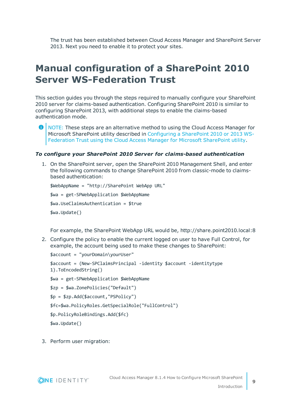The trust has been established between Cloud Access Manager and SharePoint Server 2013. Next you need to enable it to protect your sites.

### <span id="page-8-0"></span>**Manual configuration of a SharePoint 2010 Server WS-Federation Trust**

This section guides you through the steps required to manually configure your SharePoint 2010 server for claims-based authentication. Configuring SharePoint 2010 is similar to configuring SharePoint 2013, with additional steps to enable the claims-based authentication mode.

NOTE: These steps are an alternative method to using the Cloud Access Manager for Microsoft SharePoint utility described in [Configuring](#page-5-0) a SharePoint 2010 or 2013 WS-Federation Trust using the Cloud Access Manager for Microsoft [SharePoint](#page-5-0) utility.

#### *To configure your SharePoint 2010 Server for claims-based authentication*

1. On the SharePoint server, open the SharePoint 2010 Management Shell, and enter the following commands to change SharePoint 2010 from classic-mode to claimsbased authentication:

```
$WebAppName = "http://SharePoint WebApp URL"
$wa = get-SPWebApplication $WebAppName
$wa.UseClaimsAuthentication = $true
$wa.Update()
```
For example, the SharePoint WebApp URL would be, http://share.point2010.local:8

2. Configure the policy to enable the current logged on user to have Full Control, for example, the account being used to make these changes to SharePoint:

```
$account = "yourDomain\yourUser"
$account = (New-SPClaimsPrincipal -identity $account -identitytype
1).ToEncodedString()
$wa = get-SPWebApplication $WebAppName
$zp = $wa.ZonePolicies("Default")
$p = $zp.Add($account,"PSPolicy")
$fc=$wa.PolicyRoles.GetSpecialRole("FullControl")
$p.PolicyRoleBindings.Add($fc)
$wa.Update()
```
3. Perform user migration: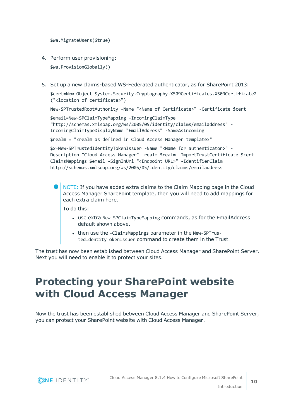\$wa.MigrateUsers(\$true)

- 4. Perform user provisioning: \$wa.ProvisionGlobally()
- 5. Set up a new claims-based WS-Federated authenticator, as for SharePoint 2013:

\$cert=New-Object System.Security.Cryptography.X509Certificates.X509Certificate2 ("<location of certificate>")

New-SPTrustedRootAuthority -Name "<Name of Certificate>" -Certificate \$cert

\$email=New-SPClaimTypeMapping -IncomingClaimType "http://schemas.xmlsoap.org/ws/2005/05/identity/claims/emailaddress" - IncomingClaimTypeDisplayName "EmailAddress" -SameAsIncoming

\$realm = "<realm as defined in Cloud Access Manager template>"

\$x=New-SPTrustedIdentityTokenIssuer -Name "<Name for authenticator>" - Description "Cloud Access Manager" -realm \$realm -ImportTrustCertificate \$cert - ClaimsMappings \$email -SignInUrl "<Endpoint URL>" -IdentifierClaim http://schemas.xmlsoap.org/ws/2005/05/identity/claims/emailaddress

NOTE: If you have added extra claims to the Claim Mapping page in the Cloud Access Manager SharePoint template, then you will need to add mappings for each extra claim here.

To do this:

- use extra New-SPClaimTypeMapping commands, as for the EmailAddress default shown above.
- then use the -ClaimsMappings parameter in the New-SPTrustedIdentityTokenIssuer command to create them in the Trust.

The trust has now been established between Cloud Access Manager and SharePoint Server. Next you will need to enable it to protect your sites.

### <span id="page-9-0"></span>**Protecting your SharePoint website with Cloud Access Manager**

Now the trust has been established between Cloud Access Manager and SharePoint Server, you can protect your SharePoint website with Cloud Access Manager.

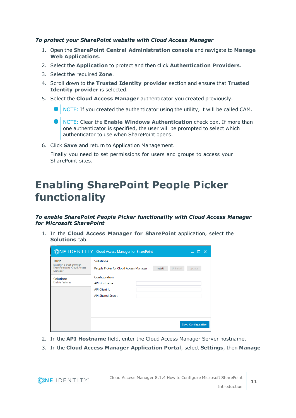### *To protect your SharePoint website with Cloud Access Manager*

- 1. Open the **SharePoint Central Administration console** and navigate to **Manage Web Applications**.
- 2. Select the **Application** to protect and then click **Authentication Providers**.
- 3. Select the required **Zone**.

**ONE IDENTITY** 

- 4. Scroll down to the **Trusted Identity provider** section and ensure that **Trusted Identity provider** is selected.
- 5. Select the **Cloud Access Manager** authenticator you created previously.
	- **O** NOTE: If you created the authenticator using the utility, it will be called CAM.
	- 0 NOTE: Clear the **Enable Windows Authentication** check box. If more than one authenticator is specified, the user will be prompted to select which authenticator to use when SharePoint opens.
- 6. Click **Save** and return to Application Management.

Finally you need to set permissions for users and groups to access your SharePoint sites.

### <span id="page-10-0"></span>**Enabling SharePoint People Picker functionality**

*To enable SharePoint People Picker functionality with Cloud Access Manager for Microsoft SharePoint*

1. In the **Cloud Access Manager for SharePoint** application, select the **Solutions** tab.

|                                                                                            | <b>ONE IDENTITY</b> Cloud Access Manager for SharePoint                                  |         |                  | - X                       |  |
|--------------------------------------------------------------------------------------------|------------------------------------------------------------------------------------------|---------|------------------|---------------------------|--|
| <b>Trust</b><br>Establish a trust between<br><b>SharePoint and Cloud Access</b><br>Manager | <b>Solutions</b><br>People Picker for Cloud Access Manager                               | Install | <b>Uninstall</b> | Update                    |  |
| Solutions<br><b>Enable Features</b>                                                        | Configuration<br><b>API Hostname</b><br><b>API Client Id</b><br><b>API Shared Secret</b> |         |                  |                           |  |
|                                                                                            |                                                                                          |         |                  | <b>Save Configuration</b> |  |

- 2. In the **API Hostname** field, enter the Cloud Access Manager Server hostname.
- 3. In the **Cloud Access Manager Application Portal**, select **Settings**, then **Manage**

**11**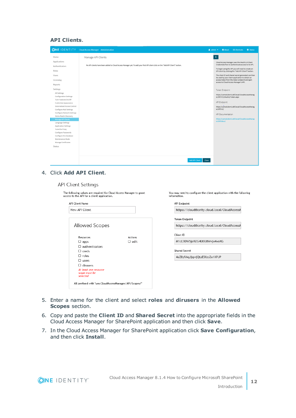### **API Clients**.

|                                       | <b>ONE IDENTITY</b> Cloud Access Manager Administration                                                                        | $\triangle$ admin $\blacktriangledown$<br><b>O</b> About<br><b>EE Shortcuts</b><br>Status                |
|---------------------------------------|--------------------------------------------------------------------------------------------------------------------------------|----------------------------------------------------------------------------------------------------------|
| Home                                  | Manage API Clients                                                                                                             | $\blacktriangleright$                                                                                    |
| Applications                          |                                                                                                                                | Cloud Access Manager uses the OAuth 2.0 Client                                                           |
| Authenticators                        | No API clients have been added to Cloud Access Manager yet. To add your first API client click on the "Add API Client" button. | Credentials flow to authenticate access to its API.                                                      |
| Roles                                 |                                                                                                                                | To begin using the API you will need to create an<br>API client by clicking the "Add API Client" button. |
|                                       |                                                                                                                                |                                                                                                          |
| Users                                 |                                                                                                                                | The client ID and shared secret generated can then<br>be used by your client application to obtain an    |
| Licensing                             |                                                                                                                                | access token from the token endpoint and gain<br>access to Cloud Access Manager's API.                   |
| Reports                               |                                                                                                                                |                                                                                                          |
| Settings                              |                                                                                                                                | Token Endpoint                                                                                           |
| All Settings                          |                                                                                                                                |                                                                                                          |
| <b>Configuration Settings</b>         |                                                                                                                                | https://camod.dom1.def.local/CloudAccessManag<br>er/RPSTS/OAuth2/Token.aspx                              |
| Turn Features On/Off                  |                                                                                                                                |                                                                                                          |
| Customize Appearance                  |                                                                                                                                | API Endpoint                                                                                             |
| Externalized Access Control           |                                                                                                                                | https://camod.dom1.def.local/CloudAccessManag                                                            |
| Configure Mail Settings               |                                                                                                                                | er/API/v1/                                                                                               |
| Configure Network Settings            |                                                                                                                                | API Documentation                                                                                        |
| Home Realm Discovery                  |                                                                                                                                | https://camod.dom1.def.local/CloudAccessManag                                                            |
| Manage API Clients                    |                                                                                                                                | er/API/docs/                                                                                             |
| Language Settings                     |                                                                                                                                |                                                                                                          |
| Application Settings                  |                                                                                                                                |                                                                                                          |
| Tune the Proxy<br>Configure Passwords |                                                                                                                                |                                                                                                          |
| Configure the Database                |                                                                                                                                |                                                                                                          |
| Maintenance Mode                      |                                                                                                                                |                                                                                                          |
| Manage Certificates                   |                                                                                                                                |                                                                                                          |
| Status                                |                                                                                                                                |                                                                                                          |
|                                       |                                                                                                                                |                                                                                                          |
|                                       |                                                                                                                                |                                                                                                          |
|                                       |                                                                                                                                |                                                                                                          |
|                                       | <b>Add API Client</b>                                                                                                          | Close                                                                                                    |

#### 4. Click **Add API Client**.

#### **API Client Settings**

| <b>API Client Name</b>    |             | API Endpoint                                  |
|---------------------------|-------------|-----------------------------------------------|
| New API Client            |             | https://cloudthority.cloud.local/CloudAccessM |
|                           |             | Token Endpoint                                |
| Allowed Scopes            |             | https://cloudthority.cloud.local/CloudAccessN |
| Resources                 | Actions     | Client ID                                     |
| $\Box$ apps               | $\Box$ edit | M1cL9DW5jo9ZG4U6U8Wvjx4voXG                   |
| $\Box$ authenticators     |             |                                               |
| $\Box$ creds              |             | Shared Secret                                 |
| $\Box$ roles              |             | 4eZ8y9AqJjqwjQtzESfzoZe1XPJP                  |
| $\Box$ users              |             |                                               |
| $\Box$ dirusers           |             |                                               |
| At least one resource     |             |                                               |
| scope must be<br>selected |             |                                               |

- 5. Enter a name for the client and select **roles** and **dirusers** in the **Allowed Scopes** section.
- 6. Copy and paste the **Client ID** and **Shared Secret** into the appropriate fields in the Cloud Access Manager for SharePoint application and then click **Save**.
- 7. In the Cloud Access Manager for SharePoint application click **Save Configuration**, and then click **Install**.

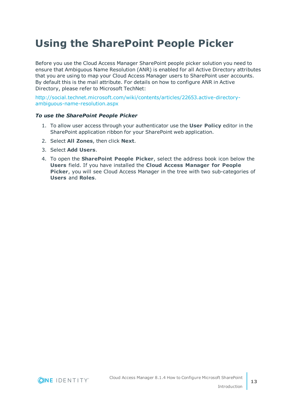## <span id="page-12-0"></span>**Using the SharePoint People Picker**

Before you use the Cloud Access Manager SharePoint people picker solution you need to ensure that Ambiguous Name Resolution (ANR) is enabled for all Active Directory attributes that you are using to map your Cloud Access Manager users to SharePoint user accounts. By default this is the mail attribute. For details on how to configure ANR in Active Directory, please refer to Microsoft TechNet:

[http://social.technet.microsoft.com/wiki/contents/articles/22653.active-directory](http://social.technet.microsoft.com/wiki/contents/articles/22653.active-directory-ambiguous-name-resolution.aspx)[ambiguous-name-resolution.aspx](http://social.technet.microsoft.com/wiki/contents/articles/22653.active-directory-ambiguous-name-resolution.aspx)

#### *To use the SharePoint People Picker*

- 1. To allow user access through your authenticator use the **User Policy** editor in the SharePoint application ribbon for your SharePoint web application.
- 2. Select **All Zones**, then click **Next**.
- 3. Select **Add Users**.
- 4. To open the **SharePoint People Picker**, select the address book icon below the **Users** field. If you have installed the **Cloud Access Manager for People Picker**, you will see Cloud Access Manager in the tree with two sub-categories of **Users** and **Roles**.

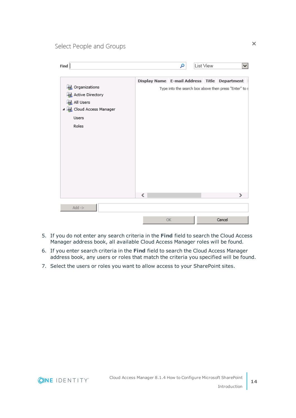Select People and Groups

| Display Name E-mail Address Title Department<br><b>La</b> Organizations<br>Type into the search box above then press "Enter" to s<br>Active Directory<br><b>All Users</b><br>4 B Cloud Access Manager<br>Users<br>Roles<br>€<br>><br>$Add$ -> | Find | α | List View | v |
|-----------------------------------------------------------------------------------------------------------------------------------------------------------------------------------------------------------------------------------------------|------|---|-----------|---|
|                                                                                                                                                                                                                                               |      |   |           |   |
|                                                                                                                                                                                                                                               |      |   |           |   |
| Cancel<br>OK                                                                                                                                                                                                                                  |      |   |           |   |

- 5. If you do not enter any search criteria in the **Find** field to search the Cloud Access Manager address book, all available Cloud Access Manager roles will be found.
- 6. If you enter search criteria in the **Find** field to search the Cloud Access Manager address book, any users or roles that match the criteria you specified will be found.
- 7. Select the users or roles you want to allow access to your SharePoint sites.

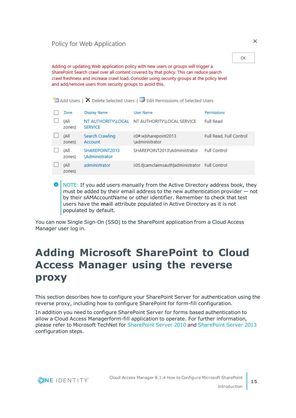Adding or updating Web application policy with new users or groups will trigger a SharePoint Search crawl over all content covered by that policy. This can reduce search crawl freshness and increase crawl load. Consider using security groups at the policy level and add/remove users from security groups to avoid this.

|                |                                  | $\frac{1}{2}$ Add Users   $\bm{\times}$ Delete Selected Users   $\bm{\mathbb{R}}$ Edit Permissions of Selected Users |                         |
|----------------|----------------------------------|----------------------------------------------------------------------------------------------------------------------|-------------------------|
| Zone           | <b>Display Name</b>              | <b>User Name</b>                                                                                                     | Permissions             |
| (All<br>zones) | <b>SERVICE</b>                   | NT AUTHORITY\LOCAL NT AUTHORITY\LOCAL SERVICE                                                                        | Full Read               |
| (All<br>zones) | Search Crawling<br>Account       | i:0#.w sharepoint2013<br>administrator\                                                                              | Full Read, Full Control |
| (All<br>zones) | SHAREPOINT2013<br>\Administrator | SHAREPOINT2013\Administrator                                                                                         | Full Control            |
| (All<br>zones) | administrator                    | i:05.t camclaimsauth administrator Full Control                                                                      |                         |
|                |                                  |                                                                                                                      |                         |

6 NOTE: If you add users manually from the Active Directory address book, they must be added by their email address to the new authentication provider — not by their sAMAccountName or other identifier. Remember to check that test users have the **mail** attribute populated in Active Directory as it is not populated by default.

You can now Single Sign-On (SSO) to the SharePoint application from a Cloud Access Manager user log in.

### <span id="page-14-0"></span>**Adding Microsoft SharePoint to Cloud Access Manager using the reverse proxy**

This section describes how to configure your SharePoint Server for authentication using the reverse proxy, including how to configure SharePoint for form-fill configuration.

In addition you need to configure SharePoint Server for forms based authentication to allow a Cloud Access Managerform-fill application to operate. For further information, please refer to Microsoft TechNet for [SharePoint](https://technet.microsoft.com/en-us/library/ee806890(office.14).aspx) Server 2010 and [SharePoint](https://technet.microsoft.com/en-us/library/ee806890(v=office.15).aspx) Server 2013 configuration steps.



OK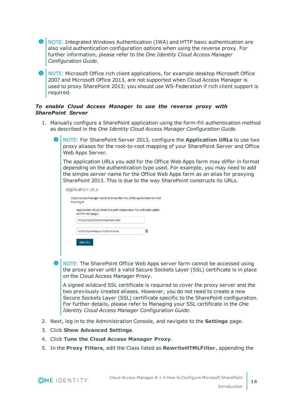- NOTE: Integrated Windows Authentication (IWA) and HTTP basic authentication are also valid authentication configuration options when using the reverse proxy. For further information, please refer to the *One Identity Cloud Access Manager Configuration Guide*.
- **O** NOTE: Microsoft Office rich client applications, for example desktop Microsoft Office 2007 and Microsoft Office 2013, are not supported when Cloud Access Manager is used to proxy SharePoint 2013; you should use WS-Federation if rich client support is required.

#### *To enable Cloud Access Manager to use the reverse proxy with SharePoint Server*

- 1. Manually configure a SharePoint application using the form-fill authentication method as described in the *One Identity Cloud Access Manager Configuration Guide*.
	- O NOTE: For SharePoint Server 2013, configure the **Application URLs** to use two proxy aliases for the root-to-root mapping of your SharePoint Server and Office Web Apps Server.

The application URLs you add for the Office Web Apps farm may differ in format depending on the authentication type used. For example, you may need to add the simple server name for the Office Web Apps farm as an alias for proxying SharePoint 2013. This is due to the way SharePoint constructs its URLs.

| Application URLs                                                                        |   |
|-----------------------------------------------------------------------------------------|---|
| Cloud Access Manager needs to know the URL of the application in order<br>to proxy it.  |   |
| Application URL(s) (Omit the path component. You will enter paths<br>on the next page.) |   |
| https://sp2013servermydom.lodal                                                         |   |
| https://spwebapps.mydom.local                                                           | ⋒ |
| Add URL                                                                                 |   |
|                                                                                         |   |

**O** NOTE: The SharePoint Office Web Apps server farm cannot be accessed using the proxy server until a valid Secure Sockets Layer (SSL) certificate is in place on the Cloud Access Manager Proxy.

A signed wildcard SSL certificate is required to cover the proxy server and the two previously created aliases. However, you do not need to create a new Secure Sockets Layer (SSL) certificate specific to the SharePoint configuration. For further details, please refer to Managing your SSL certificate in the *One Identity Cloud Access Manager Configuration Guide*.

- 2. Next, log in to the Administration Console, and navigate to the **Settings** page.
- 3. Click **Show Advanced Settings**.

**ONE IDENTITY** 

- 4. Click **Tune the Cloud Access Manager Proxy**.
- 5. In the **Proxy Filters**, edit the Class listed as **RewriteHTMLFilter**, appending the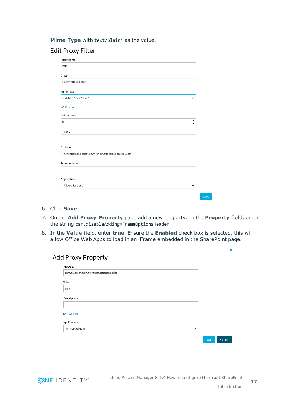**Mime Type** with text/plain\* as the value.

### **Edit Proxy Filter**

| <b>Filter Name</b>                                |        |
|---------------------------------------------------|--------|
| html                                              |        |
| Class                                             |        |
| RewriteHTMLFilter                                 |        |
| Mime Type                                         |        |
| text/html* text/plain*                            | ×      |
| <b>■</b> Enabled                                  |        |
| Debug Level                                       |        |
| $\mathbf 0$                                       | ▲<br>- |
| Include                                           |        |
|                                                   |        |
| Exclude                                           |        |
| *ns=PendingRequest&ev=PendingNotificationRequest* |        |
| Force Include                                     |        |
|                                                   |        |
| Application                                       |        |
| All Applications                                  | ▼      |

- 6. Click **Save**.
- 7. On the **Add Proxy Property** page add a new property. In the **Property** field, enter the string cam.disableAddingXFrameOptionsHeader.
- 8. In the **Value** field, enter **true**. Ensure the **Enabled** check box is selected, this will allow Office Web Apps to load in an iFrame embedded in the SharePoint page.

### **Add Proxy Property**

| Property                                     |      |        |
|----------------------------------------------|------|--------|
| cam.disableAddingXFrameOptionsHeader         |      |        |
| Value                                        |      |        |
| true                                         |      |        |
| Description                                  |      |        |
|                                              |      |        |
| $\triangleright$ Enabled                     |      |        |
| Application                                  |      |        |
| All Applications<br>$\overline{\phantom{a}}$ |      |        |
|                                              | Save | Cancel |



×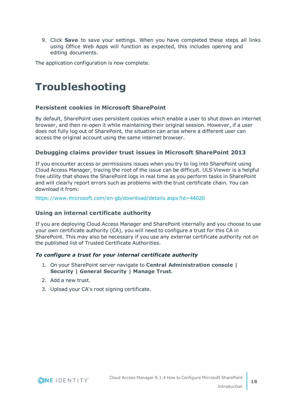9. Click **Save** to save your settings. When you have completed these steps all links using Office Web Apps will function as expected, this includes opening and editing documents.

<span id="page-17-0"></span>The application configuration is now complete.

### **Troubleshooting**

### **Persistent cookies in Microsoft SharePoint**

By default, SharePoint uses persistent cookies which enable a user to shut down an internet browser, and then re-open it while maintaining their original session. However, if a user does not fully log out of SharePoint, the situation can arise where a different user can access the original account using the same internet browser.

### **Debugging claims provider trust issues in Microsoft SharePoint 2013**

If you encounter access or permissions issues when you try to log into SharePoint using Cloud Access Manager, tracing the root of the issue can be difficult. ULS Viewer is a helpful free utility that shows the SharePoint logs in real time as you perform tasks in SharePoint and will clearly report errors such as problems with the trust certificate chain. You can download it from:

<https://www.microsoft.com/en-gb/download/details.aspx?id=44020>

### **Using an internal certificate authority**

If you are deploying Cloud Access Manager and SharePoint internally and you choose to use your own certificate authority (CA), you will need to configure a trust for this CA in SharePoint. This may also be necessary if you use any external certificate authority not on the published list of Trusted Certificate Authorities.

### *To configure a trust for your internal certificate authority*

- 1. On your SharePoint server navigate to **Central Administration console | Security | General Security | Manage Trust**.
- 2. Add a new trust.
- 3. Upload your CA's root signing certificate.